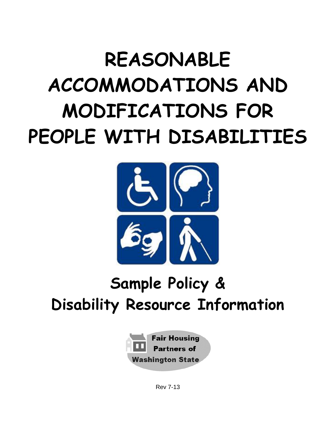# **REASONABLE ACCOMMODATIONS AND MODIFICATIONS FOR PEOPLE WITH DISABILITIES**



# **Sample Policy & Disability Resource Information**



Rev 7-13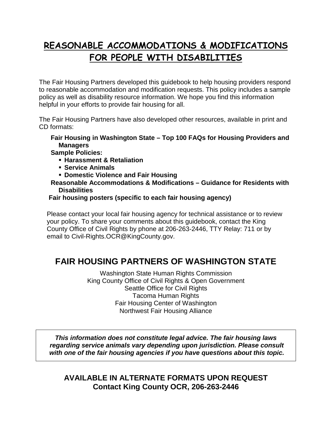# **REASONABLE ACCOMMODATIONS & MODIFICATIONS FOR PEOPLE WITH DISABILITIES**

The Fair Housing Partners developed this guidebook to help housing providers respond to reasonable accommodation and modification requests. This policy includes a sample policy as well as disability resource information. We hope you find this information helpful in your efforts to provide fair housing for all.

The Fair Housing Partners have also developed other resources, available in print and CD formats:

#### **Fair Housing in Washington State – Top 100 FAQs for Housing Providers and Managers**

**Sample Policies:**

- **Harassment & Retaliation**
- **Service Animals**
- **Domestic Violence and Fair Housing**
- **Reasonable Accommodations & Modifications – Guidance for Residents with Disabilities**

#### **Fair housing posters (specific to each fair housing agency)**

Please contact your local fair housing agency for technical assistance or to review your policy. To share your comments about this guidebook, contact the King County Office of Civil Rights by phone at 206-263-2446, TTY Relay: 711 or by email to Civil-Rights.OCR@KingCounty.gov.

# **FAIR HOUSING PARTNERS OF WASHINGTON STATE**

Washington State Human Rights Commission King County Office of Civil Rights & Open Government Seattle Office for Civil Rights Tacoma Human Rights Fair Housing Center of Washington Northwest Fair Housing Alliance

*This information does not constitute legal advice. The fair housing laws regarding service animals vary depending upon jurisdiction. Please consult with one of the fair housing agencies if you have questions about this topic.*

**AVAILABLE IN ALTERNATE FORMATS UPON REQUEST Contact King County OCR, 206-263-2446**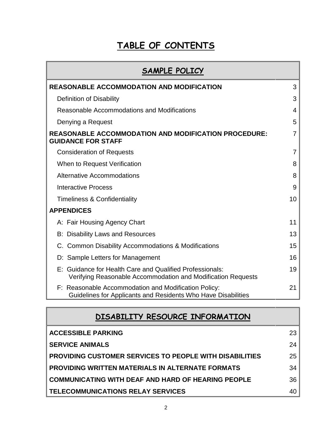# **TABLE OF CONTENTS**

| SAMPLE POLICY                                                                                                            |    |
|--------------------------------------------------------------------------------------------------------------------------|----|
| <b>REASONABLE ACCOMMODATION AND MODIFICATION</b>                                                                         | 3  |
| <b>Definition of Disability</b>                                                                                          | 3  |
| Reasonable Accommodations and Modifications                                                                              | 4  |
| Denying a Request                                                                                                        | 5  |
| <b>REASONABLE ACCOMMODATION AND MODIFICATION PROCEDURE:</b><br><b>GUIDANCE FOR STAFF</b>                                 | 7  |
| <b>Consideration of Requests</b>                                                                                         | 7  |
| When to Request Verification                                                                                             | 8  |
| <b>Alternative Accommodations</b>                                                                                        | 8  |
| <b>Interactive Process</b>                                                                                               | 9  |
| <b>Timeliness &amp; Confidentiality</b>                                                                                  | 10 |
| <b>APPENDICES</b>                                                                                                        |    |
| A: Fair Housing Agency Chart                                                                                             | 11 |
| <b>B: Disability Laws and Resources</b>                                                                                  | 13 |
| C. Common Disability Accommodations & Modifications                                                                      | 15 |
| D: Sample Letters for Management                                                                                         | 16 |
| E: Guidance for Health Care and Qualified Professionals:<br>Verifying Reasonable Accommodation and Modification Requests | 19 |
| F: Reasonable Accommodation and Modification Policy:<br>Guidelines for Applicants and Residents Who Have Disabilities    | 21 |

| DISABILITY RESOURCE INFORMATION                                |    |  |
|----------------------------------------------------------------|----|--|
| <b>ACCESSIBLE PARKING</b>                                      | 23 |  |
| <b>SERVICE ANIMALS</b>                                         | 24 |  |
| <b>PROVIDING CUSTOMER SERVICES TO PEOPLE WITH DISABILITIES</b> | 25 |  |
| <b>PROVIDING WRITTEN MATERIALS IN ALTERNATE FORMATS</b>        | 34 |  |
| <b>COMMUNICATING WITH DEAF AND HARD OF HEARING PEOPLE</b>      | 36 |  |
| TELECOMMUNICATIONS RELAY SERVICES                              | 40 |  |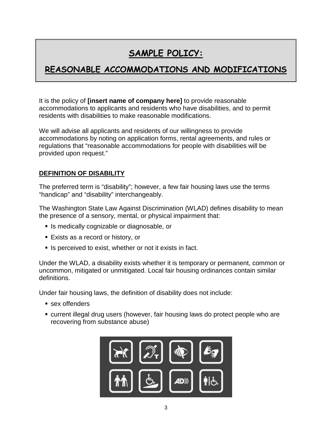# **SAMPLE POLICY:**

# **REASONABLE ACCOMMODATIONS AND MODIFICATIONS**

It is the policy of **[insert name of company here]** to provide reasonable accommodations to applicants and residents who have disabilities, and to permit residents with disabilities to make reasonable modifications.

We will advise all applicants and residents of our willingness to provide accommodations by noting on application forms, rental agreements, and rules or regulations that "reasonable accommodations for people with disabilities will be provided upon request."

# **DEFINITION OF DISABILITY**

The preferred term is "disability"; however, a few fair housing laws use the terms "handicap" and "disability" interchangeably.

The Washington State Law Against Discrimination (WLAD) defines disability to mean the presence of a sensory, mental, or physical impairment that:

- **If** Is medically cognizable or diagnosable, or
- Exists as a record or history, or
- Is perceived to exist, whether or not it exists in fact.

Under the WLAD, a disability exists whether it is temporary or permanent, common or uncommon, mitigated or unmitigated. Local fair housing ordinances contain similar definitions.

Under fair housing laws, the definition of disability does not include:

- sex offenders
- current illegal drug users (however, fair housing laws do protect people who are recovering from substance abuse)

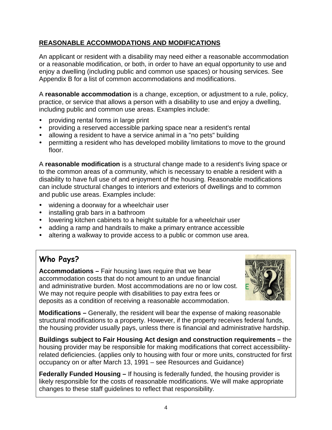# **REASONABLE ACCOMMODATIONS AND MODIFICATIONS**

An applicant or resident with a disability may need either a reasonable accommodation or a reasonable modification, or both, in order to have an equal opportunity to use and enjoy a dwelling (including public and common use spaces) or housing services. See Appendix B for a list of common accommodations and modifications.

A **reasonable accommodation** is a change, exception, or adjustment to a rule, policy, practice, or service that allows a person with a disability to use and enjoy a dwelling, including public and common use areas. Examples include:

- providing rental forms in large print
- providing a reserved accessible parking space near a resident's rental
- allowing a resident to have a service animal in a "no pets" building
- permitting a resident who has developed mobility limitations to move to the ground floor.

A **reasonable modification** is a structural change made to a resident's living space or to the common areas of a community, which is necessary to enable a resident with a disability to have full use of and enjoyment of the housing. Reasonable modifications can include structural changes to interiors and exteriors of dwellings and to common and public use areas. Examples include:

- widening a doorway for a wheelchair user
- installing grab bars in a bathroom
- lowering kitchen cabinets to a height suitable for a wheelchair user
- adding a ramp and handrails to make a primary entrance accessible
- altering a walkway to provide access to a public or common use area.

# **Who Pays?**

**Accommodations –** Fair housing laws require that we bear accommodation costs that do not amount to an undue financial and administrative burden. Most accommodations are no or low cost. We may not require people with disabilities to pay extra fees or deposits as a condition of receiving a reasonable accommodation.



**Modifications –** Generally, the resident will bear the expense of making reasonable structural modifications to a property. However, if the property receives federal funds, the housing provider usually pays, unless there is financial and administrative hardship.

**Buildings subject to Fair Housing Act design and construction requirements –** the housing provider may be responsible for making modifications that correct accessibilityrelated deficiencies. (applies only to housing with four or more units, constructed for first occupancy on or after March 13, 1991 – see Resources and Guidance)

**Federally Funded Housing –** If housing is federally funded, the housing provider is likely responsible for the costs of reasonable modifications. We will make appropriate changes to these staff guidelines to reflect that responsibility.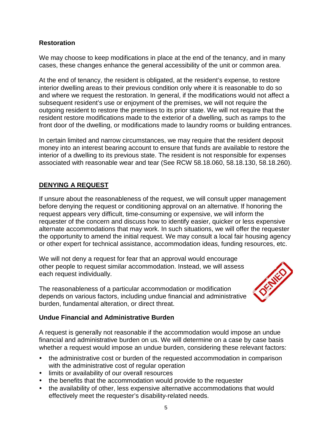### **Restoration**

We may choose to keep modifications in place at the end of the tenancy, and in many cases, these changes enhance the general accessibility of the unit or common area.

At the end of tenancy, the resident is obligated, at the resident's expense, to restore interior dwelling areas to their previous condition only where it is reasonable to do so and where we request the restoration. In general, if the modifications would not affect a subsequent resident's use or enjoyment of the premises, we will not require the outgoing resident to restore the premises to its prior state. We will not require that the resident restore modifications made to the exterior of a dwelling, such as ramps to the front door of the dwelling, or modifications made to laundry rooms or building entrances.

In certain limited and narrow circumstances, we may require that the resident deposit money into an interest bearing account to ensure that funds are available to restore the interior of a dwelling to its previous state. The resident is not responsible for expenses associated with reasonable wear and tear (See RCW 58.18.060, 58.18.130, 58.18.260).

### **DENYING A REQUEST**

If unsure about the reasonableness of the request, we will consult upper management before denying the request or conditioning approval on an alternative. If honoring the request appears very difficult, time-consuming or expensive, we will inform the requester of the concern and discuss how to identify easier, quicker or less expensive alternate accommodations that may work. In such situations, we will offer the requester the opportunity to amend the initial request. We may consult a local fair housing agency or other expert for technical assistance, accommodation ideas, funding resources, etc.

We will not deny a request for fear that an approval would encourage other people to request similar accommodation. Instead, we will assess each request individually.

The reasonableness of a particular accommodation or modification depends on various factors, including undue financial and administrative burden, fundamental alteration, or direct threat.



#### **Undue Financial and Administrative Burden**

A request is generally not reasonable if the accommodation would impose an undue financial and administrative burden on us. We will determine on a case by case basis whether a request would impose an undue burden, considering these relevant factors:

- the administrative cost or burden of the requested accommodation in comparison with the administrative cost of regular operation
- limits or availability of our overall resources
- the benefits that the accommodation would provide to the requester
- the availability of other, less expensive alternative accommodations that would effectively meet the requester's disability-related needs.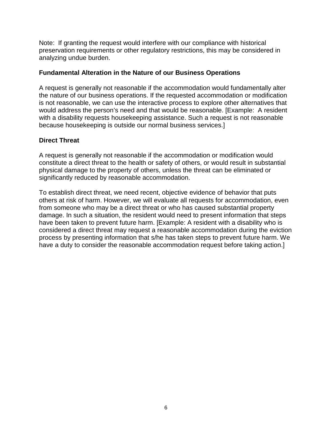Note: If granting the request would interfere with our compliance with historical preservation requirements or other regulatory restrictions, this may be considered in analyzing undue burden.

#### **Fundamental Alteration in the Nature of our Business Operations**

A request is generally not reasonable if the accommodation would fundamentally alter the nature of our business operations. If the requested accommodation or modification is not reasonable, we can use the interactive process to explore other alternatives that would address the person's need and that would be reasonable. [Example: A resident with a disability requests housekeeping assistance. Such a request is not reasonable because housekeeping is outside our normal business services.]

#### **Direct Threat**

A request is generally not reasonable if the accommodation or modification would constitute a direct threat to the health or safety of others, or would result in substantial physical damage to the property of others, unless the threat can be eliminated or significantly reduced by reasonable accommodation.

To establish direct threat, we need recent, objective evidence of behavior that puts others at risk of harm. However, we will evaluate all requests for accommodation, even from someone who may be a direct threat or who has caused substantial property damage. In such a situation, the resident would need to present information that steps have been taken to prevent future harm. [Example: A resident with a disability who is considered a direct threat may request a reasonable accommodation during the eviction process by presenting information that s/he has taken steps to prevent future harm. We have a duty to consider the reasonable accommodation request before taking action.]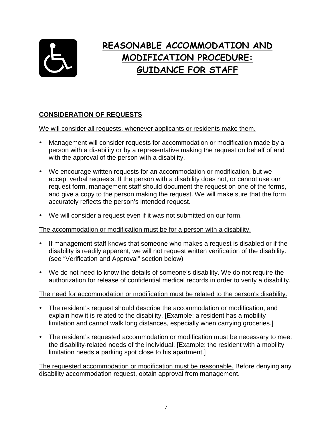

# **REASONABLE ACCOMMODATION AND MODIFICATION PROCEDURE: GUIDANCE FOR STAFF**

# **CONSIDERATION OF REQUESTS**

We will consider all requests, whenever applicants or residents make them.

- Management will consider requests for accommodation or modification made by a person with a disability or by a representative making the request on behalf of and with the approval of the person with a disability.
- We encourage written requests for an accommodation or modification, but we accept verbal requests. If the person with a disability does not, or cannot use our request form, management staff should document the request on one of the forms, and give a copy to the person making the request. We will make sure that the form accurately reflects the person's intended request.
- We will consider a request even if it was not submitted on our form.

#### The accommodation or modification must be for a person with a disability.

- If management staff knows that someone who makes a request is disabled or if the disability is readily apparent, we will not request written verification of the disability. (see "Verification and Approval" section below)
- We do not need to know the details of someone's disability. We do not require the authorization for release of confidential medical records in order to verify a disability.

### The need for accommodation or modification must be related to the person's disability.

- The resident's request should describe the accommodation or modification, and explain how it is related to the disability. [Example: a resident has a mobility limitation and cannot walk long distances, especially when carrying groceries.]
- The resident's requested accommodation or modification must be necessary to meet the disability-related needs of the individual. [Example: the resident with a mobility limitation needs a parking spot close to his apartment.]

The requested accommodation or modification must be reasonable. Before denying any disability accommodation request, obtain approval from management.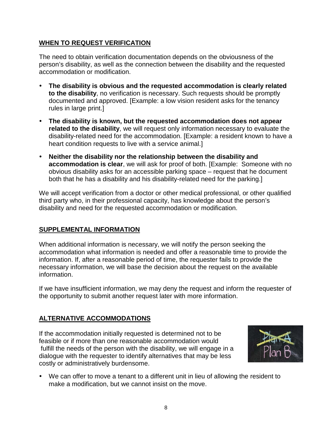# **WHEN TO REQUEST VERIFICATION**

The need to obtain verification documentation depends on the obviousness of the person's disability, as well as the connection between the disability and the requested accommodation or modification.

- **The disability is obvious and the requested accommodation is clearly related to the disability**, no verification is necessary. Such requests should be promptly documented and approved. [Example: a low vision resident asks for the tenancy rules in large print.]
- **The disability is known, but the requested accommodation does not appear related to the disability**, we will request only information necessary to evaluate the disability-related need for the accommodation. [Example: a resident known to have a heart condition requests to live with a service animal.]
- **Neither the disability nor the relationship between the disability and accommodation is clear**, we will ask for proof of both. [Example: Someone with no obvious disability asks for an accessible parking space – request that he document both that he has a disability and his disability-related need for the parking.]

We will accept verification from a doctor or other medical professional, or other qualified third party who, in their professional capacity, has knowledge about the person's disability and need for the requested accommodation or modification.

# **SUPPLEMENTAL INFORMATION**

When additional information is necessary, we will notify the person seeking the accommodation what information is needed and offer a reasonable time to provide the information. If, after a reasonable period of time, the requester fails to provide the necessary information, we will base the decision about the request on the available information.

If we have insufficient information, we may deny the request and inform the requester of the opportunity to submit another request later with more information.

# **ALTERNATIVE ACCOMMODATIONS**

If the accommodation initially requested is determined not to be feasible or if more than one reasonable accommodation would fulfill the needs of the person with the disability, we will engage in a dialogue with the requester to identify alternatives that may be less costly or administratively burdensome.



 We can offer to move a tenant to a different unit in lieu of allowing the resident to make a modification, but we cannot insist on the move.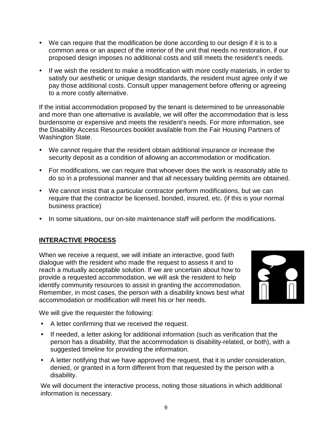- We can require that the modification be done according to our design if it is to a common area or an aspect of the interior of the unit that needs no restoration, if our proposed design imposes no additional costs and still meets the resident's needs.
- If we wish the resident to make a modification with more costly materials, in order to satisfy our aesthetic or unique design standards, the resident must agree only if we pay those additional costs. Consult upper management before offering or agreeing to a more costly alternative.

If the initial accommodation proposed by the tenant is determined to be unreasonable and more than one alternative is available, we will offer the accommodation that is less burdensome or expensive and meets the resident's needs. For more information, see the Disability Access Resources booklet available from the Fair Housing Partners of Washington State.

- We cannot require that the resident obtain additional insurance or increase the security deposit as a condition of allowing an accommodation or modification.
- For modifications, we can require that whoever does the work is reasonably able to do so in a professional manner and that all necessary building permits are obtained.
- We cannot insist that a particular contractor perform modifications, but we can require that the contractor be licensed, bonded, insured, etc. (if this is your normal business practice)
- In some situations, our on-site maintenance staff will perform the modifications.

### **INTERACTIVE PROCESS**

When we receive a request, we will initiate an interactive, good faith dialogue with the resident who made the request to assess it and to reach a mutually acceptable solution. If we are uncertain about how to provide a requested accommodation, we will ask the resident to help identify community resources to assist in granting the accommodation. Remember, in most cases, the person with a disability knows best what accommodation or modification will meet his or her needs.



We will give the requester the following:

- A letter confirming that we received the request.
- If needed, a letter asking for additional information (such as verification that the person has a disability, that the accommodation is disability-related, or both), with a suggested timeline for providing the information.
- A letter notifying that we have approved the request, that it is under consideration, denied, or granted in a form different from that requested by the person with a disability.

We will document the interactive process, noting those situations in which additional information is necessary.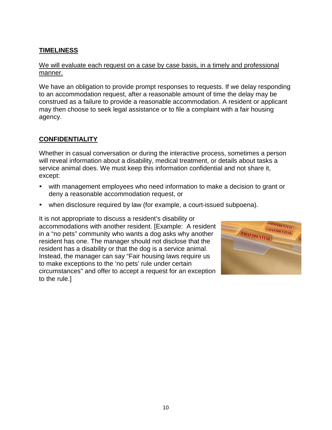# **TIMELINESS**

#### We will evaluate each request on a case by case basis, in a timely and professional manner.

We have an obligation to provide prompt responses to requests. If we delay responding to an accommodation request, after a reasonable amount of time the delay may be construed as a failure to provide a reasonable accommodation. A resident or applicant may then choose to seek legal assistance or to file a complaint with a fair housing agency.

#### **CONFIDENTIALITY**

Whether in casual conversation or during the interactive process, sometimes a person will reveal information about a disability, medical treatment, or details about tasks a service animal does. We must keep this information confidential and not share it, except:

- with management employees who need information to make a decision to grant or deny a reasonable accommodation request, or
- when disclosure required by law (for example, a court-issued subpoena).

It is not appropriate to discuss a resident's disability or accommodations with another resident. [Example: A resident in a "no pets" community who wants a dog asks why another resident has one. The manager should not disclose that the resident has a disability or that the dog is a service animal. Instead, the manager can say "Fair housing laws require us to make exceptions to the 'no pets' rule under certain circumstances" and offer to accept a request for an exception to the rule.]

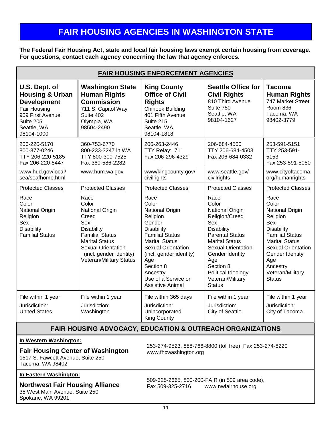# **FAIR HOUSING AGENCIES IN WASHINGTON STATE**

**The Federal Fair Housing Act, state and local fair housing laws exempt certain housing from coverage. For questions, contact each agency concerning the law that agency enforces.** 

| <b>FAIR HOUSING ENFORCEMENT AGENCIES</b>                                                                                                        |                                                                                                                                                                                                                                  |                                                                                                                                                                                                                                                                                                      |                                                                                                                                                                                                                                                                                              |                                                                                                                                                                                                                                                                 |
|-------------------------------------------------------------------------------------------------------------------------------------------------|----------------------------------------------------------------------------------------------------------------------------------------------------------------------------------------------------------------------------------|------------------------------------------------------------------------------------------------------------------------------------------------------------------------------------------------------------------------------------------------------------------------------------------------------|----------------------------------------------------------------------------------------------------------------------------------------------------------------------------------------------------------------------------------------------------------------------------------------------|-----------------------------------------------------------------------------------------------------------------------------------------------------------------------------------------------------------------------------------------------------------------|
| U.S. Dept. of<br><b>Housing &amp; Urban</b><br><b>Development</b><br>Fair Housing<br>909 First Avenue<br>Suite 205<br>Seattle, WA<br>98104-1000 | <b>Washington State</b><br><b>Human Rights</b><br><b>Commission</b><br>711 S. Capitol Way<br>Suite 402<br>Olympia, WA<br>98504-2490                                                                                              | <b>King County</b><br><b>Office of Civil</b><br><b>Rights</b><br><b>Chinook Building</b><br>401 Fifth Avenue<br>Suite 215<br>Seattle, WA<br>98104-1818                                                                                                                                               | <b>Seattle Office for</b><br><b>Civil Rights</b><br>810 Third Avenue<br>Suite 750<br>Seattle, WA<br>98104-1627                                                                                                                                                                               | <b>Tacoma</b><br><b>Human Rights</b><br>747 Market Street<br><b>Room 836</b><br>Tacoma, WA<br>98402-3779                                                                                                                                                        |
| 206-220-5170<br>800-877-0246<br>TTY 206-220-5185<br>Fax 206-220-5447                                                                            | 360-753-6770<br>800-233-3247 in WA<br>TTY 800-300-7525<br>Fax 360-586-2282                                                                                                                                                       | 206-263-2446<br>TTY Relay: 711<br>Fax 206-296-4329                                                                                                                                                                                                                                                   | 206-684-4500<br>TTY 206-684-4503<br>Fax 206-684-0332                                                                                                                                                                                                                                         | 253-591-5151<br>TTY 253-591-<br>5153<br>Fax 253-591-5050                                                                                                                                                                                                        |
| www.hud.gov/local/<br>sea/seafhome.html                                                                                                         | www.hum.wa.gov                                                                                                                                                                                                                   | www/kingcounty.gov/<br>civilrights                                                                                                                                                                                                                                                                   | www.seattle.gov/<br>civilrights                                                                                                                                                                                                                                                              | www.cityoftacoma.<br>org/humanrights                                                                                                                                                                                                                            |
| <b>Protected Classes</b><br>Race<br>Color<br>National Origin<br>Religion<br>Sex<br><b>Disability</b><br><b>Familial Status</b>                  | <b>Protected Classes</b><br>Race<br>Color<br>National Origin<br>Creed<br>Sex<br>Disability<br><b>Familial Status</b><br><b>Marital Status</b><br><b>Sexual Orientation</b><br>(incl. gender identity)<br>Veteran/Military Status | <b>Protected Classes</b><br>Race<br>Color<br>National Origin<br>Religion<br>Gender<br><b>Disability</b><br><b>Familial Status</b><br><b>Marital Status</b><br><b>Sexual Orientation</b><br>(incl. gender identity)<br>Age<br>Section 8<br>Ancestry<br>Use of a Service or<br><b>Assistive Animal</b> | <b>Protected Classes</b><br>Race<br>Color<br>National Origin<br>Religion/Creed<br>Sex<br><b>Disability</b><br><b>Parental Status</b><br><b>Marital Status</b><br><b>Sexual Orientation</b><br>Gender Identity<br>Age<br>Section 8<br>Political Ideology<br>Veteran/Military<br><b>Status</b> | <b>Protected Classes</b><br>Race<br>Color<br>National Origin<br>Religion<br>Sex<br><b>Disability</b><br><b>Familial Status</b><br><b>Marital Status</b><br><b>Sexual Orientation</b><br>Gender Identity<br>Age<br>Ancestry<br>Veteran/Military<br><b>Status</b> |
| File within 1 year<br>Jurisdiction:<br><b>United States</b>                                                                                     | File within 1 year<br>Jurisdiction:<br>Washington                                                                                                                                                                                | File within 365 days<br>Jurisdiction:<br>Unincorporated<br><b>King County</b>                                                                                                                                                                                                                        | File within 1 year<br>Jurisdiction:<br><b>City of Seattle</b>                                                                                                                                                                                                                                | File within 1 year<br>Jurisdiction:<br>City of Tacoma                                                                                                                                                                                                           |

### **FAIR HOUSING ADVOCACY, EDUCATION & OUTREACH ORGANIZATIONS**

#### **In Western Washington:**

### **Fair Housing Center of Washington**

1517 S. Fawcett Avenue, Suite 250 Tacoma, WA 98402

#### **In Eastern Washington:**

#### **Northwest Fair Housing Alliance**

35 West Main Avenue, Suite 250 Spokane, WA 99201

253-274-9523, 888-766-8800 (toll free), Fax 253-274-8220 www.fhcwashington.org

509-325-2665, 800-200-FAIR (in 509 area code), www.nwfairhouse.org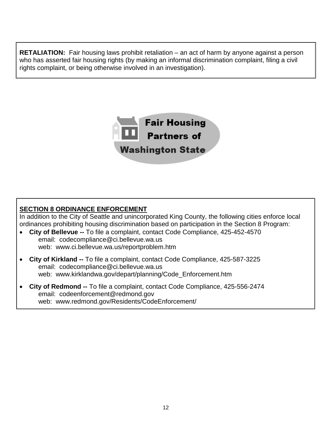**RETALIATION:** Fair housing laws prohibit retaliation – an act of harm by anyone against a person who has asserted fair housing rights (by making an informal discrimination complaint, filing a civil rights complaint, or being otherwise involved in an investigation).



## **SECTION 8 ORDINANCE ENFORCEMENT**

In addition to the City of Seattle and unincorporated King County, the following cities enforce local ordinances prohibiting housing discrimination based on participation in the Section 8 Program:

- **City of Bellevue --** To file a complaint, contact Code Compliance, 425-452-4570 email: codecompliance@ci.bellevue.wa.us web: www.ci.bellevue.wa.us/reportproblem.htm
- **City of Kirkland --** To file a complaint, contact Code Compliance, 425-587-3225 email: codecompliance@ci.bellevue.wa.us web: www.kirklandwa.gov/depart/planning/Code\_Enforcement.htm
- **City of Redmond --** To file a complaint, contact Code Compliance, 425-556-2474 email: codeenforcement@redmond.gov web: www.redmond.gov/Residents/CodeEnforcement/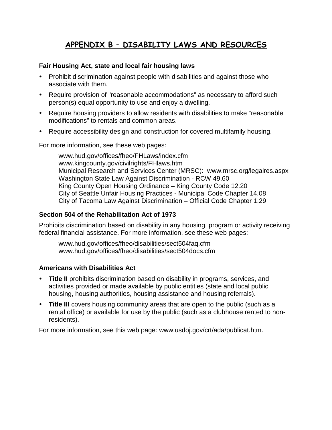# **APPENDIX B – DISABILITY LAWS AND RESOURCES**

#### **Fair Housing Act, state and local fair housing laws**

- Prohibit discrimination against people with disabilities and against those who associate with them.
- Require provision of "reasonable accommodations" as necessary to afford such person(s) equal opportunity to use and enjoy a dwelling.
- Require housing providers to allow residents with disabilities to make "reasonable" modifications" to rentals and common areas.
- Require accessibility design and construction for covered multifamily housing.

For more information, see these web pages:

[www.hud.gov/offices/fheo/FHLaws/index.cfm](http://www.hud.gov/offices/fheo/FHLaws/index.cfm) [www.kingcounty.gov/civilrights/FHlaws.htm](http://www.metrokc.gov/dias/ocre/FHlaws.htm) Municipal Research and Services Center (MRSC): www.mrsc.org/legalres.aspx Washington State Law Against Discrimination - RCW 49.60 King County Open Housing Ordinance – King County Code 12.20 City of Seattle Unfair Housing Practices - Municipal Code Chapter 14.08 City of Tacoma Law Against Discrimination – Official Code Chapter 1.29

#### **Section 504 of the Rehabilitation Act of 1973**

Prohibits discrimination based on disability in any housing, program or activity receiving federal financial assistance. For more information, see these web pages:

[www.hud.gov/offices/fheo/disabilities/sect504faq.cfm](http://www.hud.gov/offices/fheo/disabilities/sect504faq.cfm)  [www.hud.gov/offices/fheo/disabilities/sect504docs.cfm](http://www.hud.gov/offices/fheo/disabilities/sect504docs.cfm)

#### **Americans with Disabilities Act**

- **Title II** prohibits discrimination based on disability in programs, services, and activities provided or made available by public entities (state and local public housing, housing authorities, housing assistance and housing referrals).
- **Title III** covers housing community areas that are open to the public (such as a rental office) or available for use by the public (such as a clubhouse rented to nonresidents).

For more information, see this web page: [www.usdoj.gov/crt/ada/publicat.htm.](http://www.usdoj.gov/crt/ada/publicat.htm)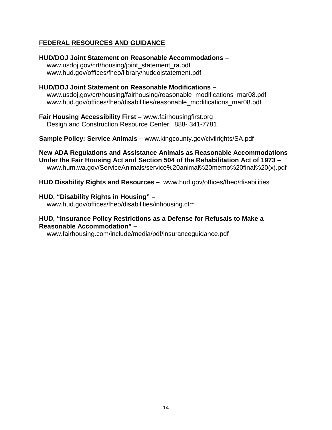## **FEDERAL RESOURCES AND GUIDANCE**

**HUD/DOJ Joint Statement on Reasonable Accommodations –** www.usdoj.gov/crt/housing/joint\_statement\_ra.pdf www.hud.gov/offices/fheo/library/huddojstatement.pdf

**HUD/DOJ Joint Statement on Reasonable Modifications –** [www.usdoj.gov/crt/housing/fairhousing/reasonable\\_modifications\\_mar08.pdf](http://www.usdoj.gov/crt/housing/fairhousing/reasonable_modifications_mar08.pdf) [www.hud.gov/offices/fheo/disabilities/reasonable\\_modifications\\_mar08.pdf](http://www.hud.gov/offices/fheo/disabilities/reasonable_modifications_mar08.pdf)

**Fair Housing Accessibility First –** www.fairhousingfirst.org Design and Construction Resource Center: 888- 341-7781

**Sample Policy: Service Animals –** www.kingcounty.gov/civilrights/SA.pdf

**New ADA Regulations and Assistance Animals as Reasonable Accommodations Under the Fair Housing Act and Section 504 of the Rehabilitation Act of 1973 –** www.hum.wa.gov/ServiceAnimals/service%20animal%20memo%20final%20(x).pdf

**HUD Disability Rights and Resources –** www.hud.gov/offices/fheo/disabilities

#### **HUD, "Disability Rights in Housing" –**

www.hud.gov/offices/fheo/disabilities/inhousing.cfm

#### **HUD, "Insurance Policy Restrictions as a Defense for Refusals to Make a Reasonable Accommodation" –**

[www.fairhousing.com/include/media/pdf/insuranceguidance.pdf](http://www.fairhousing.com/include/media/pdf/insuranceguidance.pdf)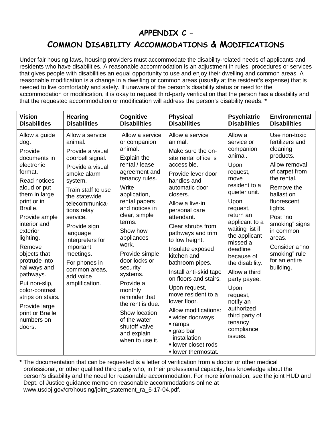# **APPENDIX C –**

# **COMMON DISABILITY ACCOMMODATIONS & MODIFICATIONS**

Under fair housing laws, housing providers must accommodate the disability-related needs of applicants and residents who have disabilities. A reasonable accommodation is an adjustment in rules, procedures or services that gives people with disabilities an equal opportunity to use and enjoy their dwelling and common areas. A reasonable modification is a change in a dwelling or common areas (usually at the resident's expense) that is needed to live comfortably and safely. If unaware of the person's disability status or need for the accommodation or modification, it is okay to request third-party verification that the person has a disability and that the requested accommodation or modification will address the person's disability needs. **\*** 

| <b>Vision</b>                                                                                                                                                                                                                                                                                                                                                                                                       | <b>Hearing</b>                                                                                                                                                                                                                                                                                                                                  | Cognitive                                                                                                                                                                                                                                                                                                                                                                                                                                                   | <b>Physical</b>                                                                                                                                                                                                                                                                                                                                                                                                                                                                                                                                                                            | <b>Psychiatric</b>                                                                                                                                                                                                                                                                                                                                                                                | <b>Environmental</b>                                                                                                                                                                                                                                                                    |
|---------------------------------------------------------------------------------------------------------------------------------------------------------------------------------------------------------------------------------------------------------------------------------------------------------------------------------------------------------------------------------------------------------------------|-------------------------------------------------------------------------------------------------------------------------------------------------------------------------------------------------------------------------------------------------------------------------------------------------------------------------------------------------|-------------------------------------------------------------------------------------------------------------------------------------------------------------------------------------------------------------------------------------------------------------------------------------------------------------------------------------------------------------------------------------------------------------------------------------------------------------|--------------------------------------------------------------------------------------------------------------------------------------------------------------------------------------------------------------------------------------------------------------------------------------------------------------------------------------------------------------------------------------------------------------------------------------------------------------------------------------------------------------------------------------------------------------------------------------------|---------------------------------------------------------------------------------------------------------------------------------------------------------------------------------------------------------------------------------------------------------------------------------------------------------------------------------------------------------------------------------------------------|-----------------------------------------------------------------------------------------------------------------------------------------------------------------------------------------------------------------------------------------------------------------------------------------|
| <b>Disabilities</b>                                                                                                                                                                                                                                                                                                                                                                                                 | <b>Disabilities</b>                                                                                                                                                                                                                                                                                                                             | <b>Disabilities</b>                                                                                                                                                                                                                                                                                                                                                                                                                                         | <b>Disabilities</b>                                                                                                                                                                                                                                                                                                                                                                                                                                                                                                                                                                        | <b>Disabilities</b>                                                                                                                                                                                                                                                                                                                                                                               | <b>Disabilities</b>                                                                                                                                                                                                                                                                     |
| Allow a guide<br>dog.<br>Provide<br>documents in<br>electronic<br>format.<br><b>Read notices</b><br>aloud or put<br>them in large<br>print or in<br>Braille.<br>Provide ample<br>interior and<br>exterior<br>lighting.<br>Remove<br>objects that<br>protrude into<br>hallways and<br>pathways.<br>Put non-slip,<br>color-contrast<br>strips on stairs.<br>Provide large<br>print or Braille<br>numbers on<br>doors. | Allow a service<br>animal.<br>Provide a visual<br>doorbell signal.<br>Provide a visual<br>smoke alarm<br>system.<br>Train staff to use<br>the statewide<br>telecommunica-<br>tions relay<br>service.<br>Provide sign<br>language<br>interpreters for<br>important<br>meetings.<br>For phones in<br>common areas,<br>add voice<br>amplification. | Allow a service<br>or companion<br>animal.<br><b>Explain the</b><br>rental / lease<br>agreement and<br>tenancy rules.<br>Write<br>application,<br>rental papers<br>and notices in<br>clear, simple<br>terms.<br>Show how<br>appliances<br>work.<br>Provide simple<br>door locks or<br>security<br>systems.<br>Provide a<br>monthly<br>reminder that<br>the rent is due.<br>Show location<br>of the water<br>shutoff valve<br>and explain<br>when to use it. | Allow a service<br>animal.<br>Make sure the on-<br>site rental office is<br>accessible.<br>Provide lever door<br>handles and<br>automatic door<br>closers.<br>Allow a live-in<br>personal care<br>attendant.<br>Clear shrubs from<br>pathways and trim<br>to low height.<br>Insulate exposed<br>kitchen and<br>bathroom pipes.<br>Install anti-skid tape<br>on floors and stairs.<br>Upon request,<br>move resident to a<br>lower floor.<br>Allow modifications:<br>· wider doorways<br>$r$ ramps<br>$\blacksquare$ grab bar<br>installation<br>· lower closet rods<br>· lower thermostat. | Allow a<br>service or<br>companion<br>animal.<br>Upon<br>request,<br>move<br>resident to a<br>quieter unit.<br>Upon<br>request,<br>return an<br>applicant to a<br>waiting list if<br>the applicant<br>missed a<br>deadline<br>because of<br>the disability.<br>Allow a third<br>party payee.<br>Upon<br>request,<br>notify an<br>authorized<br>third party of<br>tenancy<br>compliance<br>issues. | Use non-toxic<br>fertilizers and<br>cleaning<br>products.<br>Allow removal<br>of carpet from<br>the rental.<br>Remove the<br>ballast on<br>fluorescent<br>lights.<br>Post "no<br>smoking" signs<br>in common<br>areas.<br>Consider a "no<br>smoking" rule<br>for an entire<br>building. |

**\*** The documentation that can be requested is a letter of verification from a doctor or other medical professional, or other qualified third party who, in their professional capacity, has knowledge about the person's disability and the need for reasonable accommodation. For more information, see the joint HUD and Dept. of Justice guidance memo on reasonable accommodations online at www.usdoj.gov/crt/housing/joint\_statement\_ra\_5-17-04.pdf.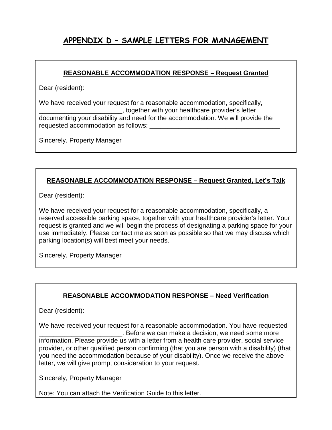# **APPENDIX D – SAMPLE LETTERS FOR MANAGEMENT**

#### **REASONABLE ACCOMMODATION RESPONSE – Request Granted**

Dear (resident):

We have received your request for a reasonable accommodation, specifically, \_\_\_\_\_\_\_\_\_\_\_\_\_\_\_\_\_\_\_\_\_\_\_, together with your healthcare provider's letter documenting your disability and need for the accommodation. We will provide the requested accommodation as follows:

Sincerely, Property Manager

# **REASONABLE ACCOMMODATION RESPONSE – Request Granted, Let's Talk**

Dear (resident):

We have received your request for a reasonable accommodation, specifically, a reserved accessible parking space, together with your healthcare provider's letter. Your request is granted and we will begin the process of designating a parking space for your use immediately. Please contact me as soon as possible so that we may discuss which parking location(s) will best meet your needs.

Sincerely, Property Manager

# **REASONABLE ACCOMMODATION RESPONSE – Need Verification**

Dear (resident):

We have received your request for a reasonable accommodation. You have requested \_\_\_\_\_\_\_\_\_\_\_\_\_\_\_\_\_\_\_\_\_\_\_. Before we can make a decision, we need some more information. Please provide us with a letter from a health care provider, social service provider, or other qualified person confirming (that you are person with a disability) (that you need the accommodation because of your disability). Once we receive the above letter, we will give prompt consideration to your request.

Sincerely, Property Manager

Note: You can attach the Verification Guide to this letter.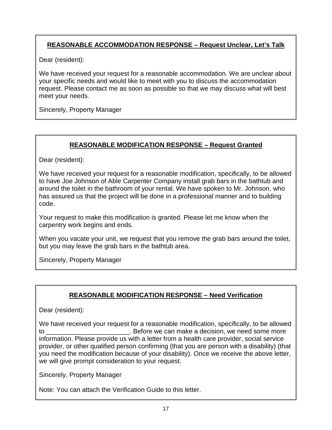# **REASONABLE ACCOMMODATION RESPONSE – Request Unclear, Let's Talk**

Dear (resident):

We have received your request for a reasonable accommodation. We are unclear about your specific needs and would like to meet with you to discuss the accommodation request. Please contact me as soon as possible so that we may discuss what will best meet your needs.

Sincerely, Property Manager

# **REASONABLE MODIFICATION RESPONSE – Request Granted**

Dear (resident):

We have received your request for a reasonable modification, specifically, to be allowed to have Joe Johnson of Able Carpenter Company install grab bars in the bathtub and around the toilet in the bathroom of your rental. We have spoken to Mr. Johnson, who has assured us that the project will be done in a professional manner and to building code.

Your request to make this modification is granted. Please let me know when the carpentry work begins and ends.

When you vacate your unit, we request that you remove the grab bars around the toilet, but you may leave the grab bars in the bathtub area.

Sincerely, Property Manager

# **REASONABLE MODIFICATION RESPONSE – Need Verification**

Dear (resident):

We have received your request for a reasonable modification, specifically, to be allowed to the can make a decision, we need some more to the state of Before we can make a decision, we need some more information. Please provide us with a letter from a health care provider, social service provider, or other qualified person confirming (that you are person with a disability) (that you need the modification because of your disability). Once we receive the above letter, we will give prompt consideration to your request.

Sincerely, Property Manager

Note: You can attach the Verification Guide to this letter.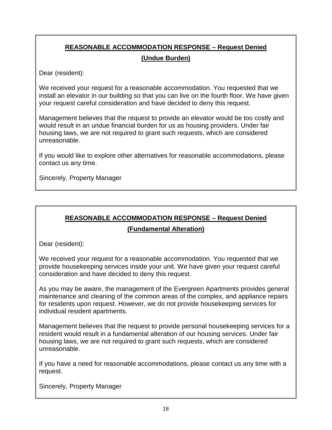# **REASONABLE ACCOMMODATION RESPONSE – Request Denied (Undue Burden)**

Dear (resident):

We received your request for a reasonable accommodation. You requested that we install an elevator in our building so that you can live on the fourth floor. We have given your request careful consideration and have decided to deny this request.

Management believes that the request to provide an elevator would be too costly and would result in an undue financial burden for us as housing providers. Under fair housing laws, we are not required to grant such requests, which are considered unreasonable.

If you would like to explore other alternatives for reasonable accommodations, please contact us any time.

Sincerely, Property Manager

# **REASONABLE ACCOMMODATION RESPONSE – Request Denied**

#### **(Fundamental Alteration)**

Dear (resident):

We received your request for a reasonable accommodation. You requested that we provide housekeeping services inside your unit. We have given your request careful consideration and have decided to deny this request.

As you may be aware, the management of the Evergreen Apartments provides general maintenance and cleaning of the common areas of the complex, and appliance repairs for residents upon request. However, we do not provide housekeeping services for individual resident apartments.

Management believes that the request to provide personal housekeeping services for a resident would result in a fundamental alteration of our housing services. Under fair housing laws, we are not required to grant such requests, which are considered unreasonable.

If you have a need for reasonable accommodations, please contact us any time with a request.

Sincerely, Property Manager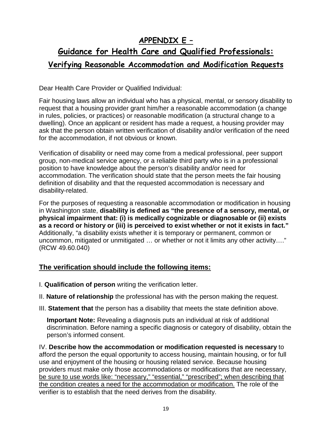# **APPENDIX E –**

# **Guidance for Health Care and Qualified Professionals: Verifying Reasonable Accommodation and Modification Requests**

Dear Health Care Provider or Qualified Individual:

Fair housing laws allow an individual who has a physical, mental, or sensory disability to request that a housing provider grant him/her a reasonable accommodation (a change in rules, policies, or practices) or reasonable modification (a structural change to a dwelling). Once an applicant or resident has made a request, a housing provider may ask that the person obtain written verification of disability and/or verification of the need for the accommodation, if not obvious or known.

Verification of disability or need may come from a medical professional, peer support group, non-medical service agency, or a reliable third party who is in a professional position to have knowledge about the person's disability and/or need for accommodation. The verification should state that the person meets the fair housing definition of disability and that the requested accommodation is necessary and disability-related.

For the purposes of requesting a reasonable accommodation or modification in housing in Washington state, **disability is defined as "the presence of a sensory, mental, or physical impairment that: (i) is medically cognizable or diagnosable or (ii) exists as a record or history or (iii) is perceived to exist whether or not it exists in fact."** Additionally, "a disability exists whether it is temporary or permanent, common or uncommon, mitigated or unmitigated … or whether or not it limits any other activity…." (RCW 49.60.040)

# **The verification should include the following items:**

- I. **Qualification of person** writing the verification letter.
- II. **Nature of relationship** the professional has with the person making the request.
- III. **Statement that** the person has a disability that meets the state definition above.

**Important Note:** Revealing a diagnosis puts an individual at risk of additional discrimination. Before naming a specific diagnosis or category of disability, obtain the person's informed consent.

IV. **Describe how the accommodation or modification requested is necessary** to afford the person the equal opportunity to access housing, maintain housing, or for full use and enjoyment of the housing or housing related service. Because housing providers must make only those accommodations or modifications that are necessary, be sure to use words like: "necessary," "essential," "prescribed"; when describing that the condition creates a need for the accommodation or modification. The role of the verifier is to establish that the need derives from the disability.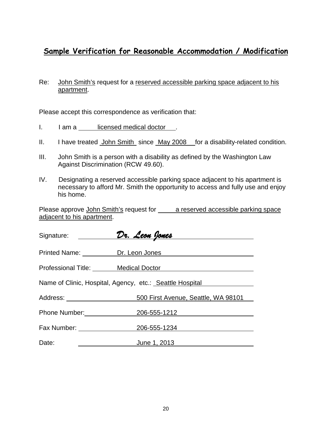# **Sample Verification for Reasonable Accommodation / Modification**

### Re: John Smith's request for a reserved accessible parking space adjacent to his apartment.

Please accept this correspondence as verification that:

- I. I am a licensed medical doctor .
- II. I have treated John Smith since May 2008 for a disability-related condition.
- III. John Smith is a person with a disability as defined by the Washington Law Against Discrimination (RCW 49.60).
- IV. Designating a reserved accessible parking space adjacent to his apartment is necessary to afford Mr. Smith the opportunity to access and fully use and enjoy his home.

Please approve John Smith's request for <u>a reserved accessible parking</u> space adjacent to his apartment.

| Signature: ________                                      | <u>Dr. Leon Jones Parameter de la provincia de la provincia de la provincia de la provincia de la provincia del</u> |  |  |
|----------------------------------------------------------|---------------------------------------------------------------------------------------------------------------------|--|--|
| Printed Name: Dr. Leon Jones                             |                                                                                                                     |  |  |
| Professional Title: Medical Doctor                       |                                                                                                                     |  |  |
| Name of Clinic, Hospital, Agency, etc.: Seattle Hospital |                                                                                                                     |  |  |
| Address: ______________________                          | 500 First Avenue, Seattle, WA 98101                                                                                 |  |  |
| Phone Number: 206-555-1212                               |                                                                                                                     |  |  |
| Fax Number: <u>________________</u>                      | 206-555-1234                                                                                                        |  |  |
| Date:                                                    | June 1, 2013                                                                                                        |  |  |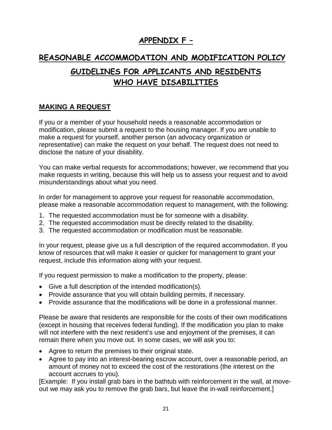# **APPENDIX F –**

# **REASONABLE ACCOMMODATION AND MODIFICATION POLICY**

# **GUIDELINES FOR APPLICANTS AND RESIDENTS WHO HAVE DISABILITIES**

# **MAKING A REQUEST**

If you or a member of your household needs a reasonable accommodation or modification, please submit a request to the housing manager. If you are unable to make a request for yourself, another person (an advocacy organization or representative) can make the request on your behalf. The request does not need to disclose the nature of your disability.

You can make verbal requests for accommodations; however, we recommend that you make requests in writing, because this will help us to assess your request and to avoid misunderstandings about what you need.

In order for management to approve your request for reasonable accommodation, please make a reasonable accommodation request to management, with the following:

- 1. The requested accommodation must be for someone with a disability.
- 2. The requested accommodation must be directly related to the disability.
- 3. The requested accommodation or modification must be reasonable.

In your request, please give us a full description of the required accommodation. If you know of resources that will make it easier or quicker for management to grant your request, include this information along with your request.

If you request permission to make a modification to the property, please:

- Give a full description of the intended modification(s).
- Provide assurance that you will obtain building permits, if necessary.
- Provide assurance that the modifications will be done in a professional manner.

Please be aware that residents are responsible for the costs of their own modifications (except in housing that receives federal funding). If the modification you plan to make will not interfere with the next resident's use and enjoyment of the premises, it can remain there when you move out. In some cases, we will ask you to:

- Agree to return the premises to their original state.
- Agree to pay into an interest-bearing escrow account, over a reasonable period, an amount of money not to exceed the cost of the restorations (the interest on the account accrues to you).

[Example: If you install grab bars in the bathtub with reinforcement in the wall, at moveout we may ask you to remove the grab bars, but leave the in-wall reinforcement.]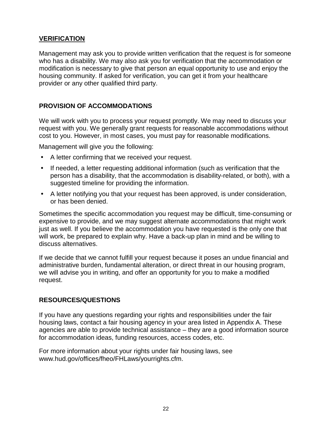# **VERIFICATION**

Management may ask you to provide written verification that the request is for someone who has a disability. We may also ask you for verification that the accommodation or modification is necessary to give that person an equal opportunity to use and enjoy the housing community. If asked for verification, you can get it from your healthcare provider or any other qualified third party.

#### **PROVISION OF ACCOMMODATIONS**

We will work with you to process your request promptly. We may need to discuss your request with you. We generally grant requests for reasonable accommodations without cost to you. However, in most cases, you must pay for reasonable modifications.

Management will give you the following:

- A letter confirming that we received your request.
- If needed, a letter requesting additional information (such as verification that the person has a disability, that the accommodation is disability-related, or both), with a suggested timeline for providing the information.
- A letter notifying you that your request has been approved, is under consideration, or has been denied.

Sometimes the specific accommodation you request may be difficult, time-consuming or expensive to provide, and we may suggest alternate accommodations that might work just as well. If you believe the accommodation you have requested is the only one that will work, be prepared to explain why. Have a back-up plan in mind and be willing to discuss alternatives.

If we decide that we cannot fulfill your request because it poses an undue financial and administrative burden, fundamental alteration, or direct threat in our housing program, we will advise you in writing, and offer an opportunity for you to make a modified request.

#### **RESOURCES/QUESTIONS**

If you have any questions regarding your rights and responsibilities under the fair housing laws, contact a fair housing agency in your area listed in Appendix A. These agencies are able to provide technical assistance – they are a good information source for accommodation ideas, funding resources, access codes, etc.

For more information about your rights under fair housing laws, see [www.hud.gov/offices/fheo/FHLaws/yourrights.cfm.](http://www.hud.gov/offices/fheo/FHLaws/yourrights.cfm)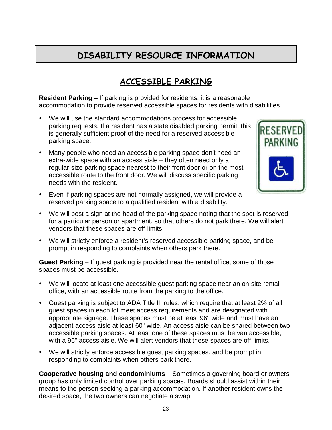# **DISABILITY RESOURCE INFORMATION**

# **ACCESSIBLE PARKING**

**Resident Parking** – If parking is provided for residents, it is a reasonable accommodation to provide reserved accessible spaces for residents with disabilities.

- We will use the standard accommodations process for accessible parking requests. If a resident has a state disabled parking permit, this is generally sufficient proof of the need for a reserved accessible parking space.
- Many people who need an accessible parking space don't need an extra-wide space with an access aisle – they often need only a regular-size parking space nearest to their front door or on the most accessible route to the front door. We will discuss specific parking needs with the resident.



- Even if parking spaces are not normally assigned, we will provide a reserved parking space to a qualified resident with a disability.
- We will post a sign at the head of the parking space noting that the spot is reserved for a particular person or apartment, so that others do not park there. We will alert vendors that these spaces are off-limits.
- We will strictly enforce a resident's reserved accessible parking space, and be prompt in responding to complaints when others park there.

**Guest Parking** – If guest parking is provided near the rental office, some of those spaces must be accessible.

- We will locate at least one accessible guest parking space near an on-site rental office, with an accessible route from the parking to the office.
- Guest parking is subject to ADA Title III rules, which require that at least 2% of all guest spaces in each lot meet access requirements and are designated with appropriate signage. These spaces must be at least 96" wide and must have an adjacent access aisle at least 60" wide. An access aisle can be shared between two accessible parking spaces. At least one of these spaces must be van accessible, with a 96" access aisle. We will alert vendors that these spaces are off-limits.
- We will strictly enforce accessible guest parking spaces, and be prompt in responding to complaints when others park there.

**Cooperative housing and condominiums** – Sometimes a governing board or owners group has only limited control over parking spaces. Boards should assist within their means to the person seeking a parking accommodation. If another resident owns the desired space, the two owners can negotiate a swap.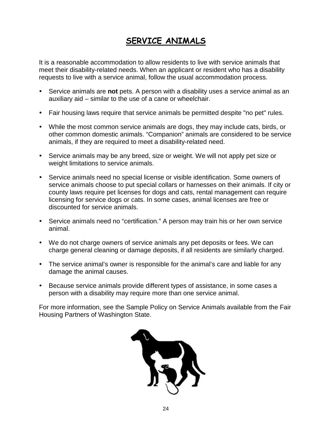# **SERVICE ANIMALS**

It is a reasonable accommodation to allow residents to live with service animals that meet their disability-related needs. When an applicant or resident who has a disability requests to live with a service animal, follow the usual accommodation process.

- Service animals are **not** pets. A person with a disability uses a service animal as an auxiliary aid – similar to the use of a cane or wheelchair.
- Fair housing laws require that service animals be permitted despite "no pet" rules.
- While the most common service animals are dogs, they may include cats, birds, or other common domestic animals. "Companion" animals are considered to be service animals, if they are required to meet a disability-related need.
- Service animals may be any breed, size or weight. We will not apply pet size or weight limitations to service animals.
- Service animals need no special license or visible identification. Some owners of service animals choose to put special collars or harnesses on their animals. If city or county laws require pet licenses for dogs and cats, rental management can require licensing for service dogs or cats. In some cases, animal licenses are free or discounted for service animals.
- Service animals need no "certification." A person may train his or her own service animal.
- We do not charge owners of service animals any pet deposits or fees. We can charge general cleaning or damage deposits, if all residents are similarly charged.
- The service animal's owner is responsible for the animal's care and liable for any damage the animal causes.
- Because service animals provide different types of assistance, in some cases a person with a disability may require more than one service animal.

For more information, see the Sample Policy on Service Animals available from the Fair Housing Partners of Washington State.

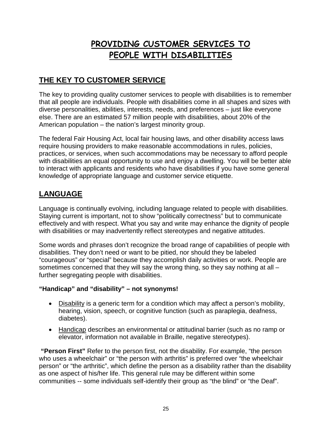# **PROVIDING CUSTOMER SERVICES TO PEOPLE WITH DISABILITIES**

# **THE KEY TO CUSTOMER SERVICE**

The key to providing quality customer services to people with disabilities is to remember that all people are individuals. People with disabilities come in all shapes and sizes with diverse personalities, abilities, interests, needs, and preferences – just like everyone else. There are an estimated 57 million people with disabilities, about 20% of the American population – the nation's largest minority group.

The federal Fair Housing Act, local fair housing laws, and other disability access laws require housing providers to make reasonable accommodations in rules, policies, practices, or services, when such accommodations may be necessary to afford people with disabilities an equal opportunity to use and enjoy a dwelling. You will be better able to interact with applicants and residents who have disabilities if you have some general knowledge of appropriate language and customer service etiquette.

# **LANGUAGE**

Language is continually evolving, including language related to people with disabilities. Staying current is important, not to show "politically correctness" but to communicate effectively and with respect. What you say and write may enhance the dignity of people with disabilities or may inadvertently reflect stereotypes and negative attitudes.

Some words and phrases don't recognize the broad range of capabilities of people with disabilities. They don't need or want to be pitied, nor should they be labeled "courageous" or "special" because they accomplish daily activities or work. People are sometimes concerned that they will say the wrong thing, so they say nothing at all – further segregating people with disabilities.

### **"Handicap" and "disability" – not synonyms!**

- Disability is a generic term for a condition which may affect a person's mobility, hearing, vision, speech, or cognitive function (such as paraplegia, deafness, diabetes).
- Handicap describes an environmental or attitudinal barrier (such as no ramp or elevator, information not available in Braille, negative stereotypes).

**"Person First"** Refer to the person first, not the disability. For example, "the person who uses a wheelchair" or "the person with arthritis" is preferred over "the wheelchair person" or "the arthritic", which define the person as a disability rather than the disability as one aspect of his/her life. This general rule may be different within some communities -- some individuals self-identify their group as "the blind" or "the Deaf".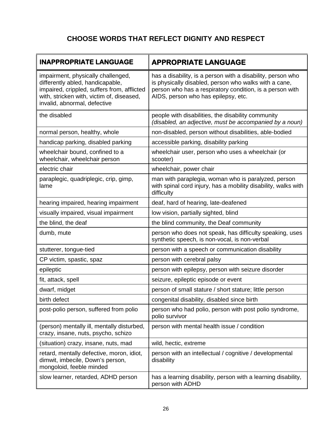# **CHOOSE WORDS THAT REFLECT DIGNITY AND RESPECT**

| <b>INAPPROPRIATE LANGUAGE</b>                                                                                                                                                                      | <b>APPROPRIATE LANGUAGE</b>                                                                                                                                                                                             |  |
|----------------------------------------------------------------------------------------------------------------------------------------------------------------------------------------------------|-------------------------------------------------------------------------------------------------------------------------------------------------------------------------------------------------------------------------|--|
| impairment, physically challenged,<br>differently abled, handicapable,<br>impaired, crippled, suffers from, afflicted<br>with, stricken with, victim of, diseased,<br>invalid, abnormal, defective | has a disability, is a person with a disability, person who<br>is physically disabled, person who walks with a cane,<br>person who has a respiratory condition, is a person with<br>AIDS, person who has epilepsy, etc. |  |
| the disabled                                                                                                                                                                                       | people with disabilities, the disability community<br>(disabled, an adjective, must be accompanied by a noun)                                                                                                           |  |
| normal person, healthy, whole                                                                                                                                                                      | non-disabled, person without disabilities, able-bodied                                                                                                                                                                  |  |
| handicap parking, disabled parking                                                                                                                                                                 | accessible parking, disability parking                                                                                                                                                                                  |  |
| wheelchair bound, confined to a<br>wheelchair, wheelchair person                                                                                                                                   | wheelchair user, person who uses a wheelchair (or<br>scooter)                                                                                                                                                           |  |
| electric chair                                                                                                                                                                                     | wheelchair, power chair                                                                                                                                                                                                 |  |
| paraplegic, quadriplegic, crip, gimp,<br>lame                                                                                                                                                      | man with paraplegia, woman who is paralyzed, person<br>with spinal cord injury, has a mobility disability, walks with<br>difficulty                                                                                     |  |
| hearing impaired, hearing impairment                                                                                                                                                               | deaf, hard of hearing, late-deafened                                                                                                                                                                                    |  |
| visually impaired, visual impairment                                                                                                                                                               | low vision, partially sighted, blind                                                                                                                                                                                    |  |
| the blind, the deaf                                                                                                                                                                                | the blind community, the Deaf community                                                                                                                                                                                 |  |
| dumb, mute                                                                                                                                                                                         | person who does not speak, has difficulty speaking, uses<br>synthetic speech, is non-vocal, is non-verbal                                                                                                               |  |
| stutterer, tongue-tied                                                                                                                                                                             | person with a speech or communication disability                                                                                                                                                                        |  |
| CP victim, spastic, spaz                                                                                                                                                                           | person with cerebral palsy                                                                                                                                                                                              |  |
| epileptic                                                                                                                                                                                          | person with epilepsy, person with seizure disorder                                                                                                                                                                      |  |
| fit, attack, spell                                                                                                                                                                                 | seizure, epileptic episode or event                                                                                                                                                                                     |  |
| dwarf, midget                                                                                                                                                                                      | person of small stature / short stature; little person                                                                                                                                                                  |  |
| birth defect                                                                                                                                                                                       | congenital disability, disabled since birth                                                                                                                                                                             |  |
| post-polio person, suffered from polio                                                                                                                                                             | person who had polio, person with post polio syndrome,<br>polio survivor                                                                                                                                                |  |
| (person) mentally ill, mentally disturbed,<br>crazy, insane, nuts, psycho, schizo                                                                                                                  | person with mental health issue / condition                                                                                                                                                                             |  |
| (situation) crazy, insane, nuts, mad                                                                                                                                                               | wild, hectic, extreme                                                                                                                                                                                                   |  |
| retard, mentally defective, moron, idiot,<br>dimwit, imbecile, Down's person,<br>mongoloid, feeble minded                                                                                          | person with an intellectual / cognitive / developmental<br>disability                                                                                                                                                   |  |
| slow learner, retarded, ADHD person                                                                                                                                                                | has a learning disability, person with a learning disability,<br>person with ADHD                                                                                                                                       |  |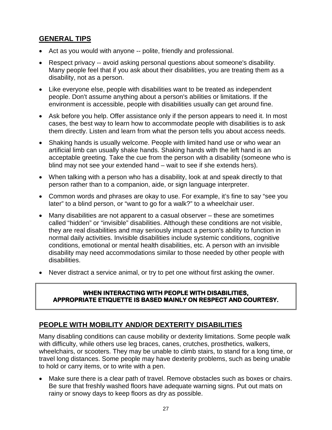# **GENERAL TIPS**

- Act as you would with anyone -- polite, friendly and professional.
- Respect privacy -- avoid asking personal questions about someone's disability. Many people feel that if you ask about their disabilities, you are treating them as a disability, not as a person.
- Like everyone else, people with disabilities want to be treated as independent people. Don't assume anything about a person's abilities or limitations. If the environment is accessible, people with disabilities usually can get around fine.
- Ask before you help. Offer assistance only if the person appears to need it. In most cases, the best way to learn how to accommodate people with disabilities is to ask them directly. Listen and learn from what the person tells you about access needs.
- Shaking hands is usually welcome. People with limited hand use or who wear an artificial limb can usually shake hands. Shaking hands with the left hand is an acceptable greeting. Take the cue from the person with a disability (someone who is blind may not see your extended hand – wait to see if she extends hers).
- When talking with a person who has a disability, look at and speak directly to that person rather than to a companion, aide, or sign language interpreter.
- Common words and phrases are okay to use. For example, it's fine to say "see you later" to a blind person, or "want to go for a walk?" to a wheelchair user.
- Many disabilities are not apparent to a casual observer these are sometimes called "hidden" or "invisible" disabilities. Although these conditions are not visible, they are real disabilities and may seriously impact a person's ability to function in normal daily activities. Invisible disabilities include systemic conditions, cognitive conditions, emotional or mental health disabilities, etc. A person with an invisible disability may need accommodations similar to those needed by other people with disabilities.
- Never distract a service animal, or try to pet one without first asking the owner.

#### **WHEN INTERACTING WITH PEOPLE WITH DISABILITIES, APPROPRIATE ETIQUETTE IS BASED MAINLY ON RESPECT AND COURTESY.**

# **PEOPLE WITH MOBILITY AND/OR DEXTERITY DISABILITIES**

Many disabling conditions can cause mobility or dexterity limitations. Some people walk with difficulty, while others use leg braces, canes, crutches, prosthetics, walkers, wheelchairs, or scooters. They may be unable to climb stairs, to stand for a long time, or travel long distances. Some people may have dexterity problems, such as being unable to hold or carry items, or to write with a pen.

• Make sure there is a clear path of travel. Remove obstacles such as boxes or chairs. Be sure that freshly washed floors have adequate warning signs. Put out mats on rainy or snowy days to keep floors as dry as possible.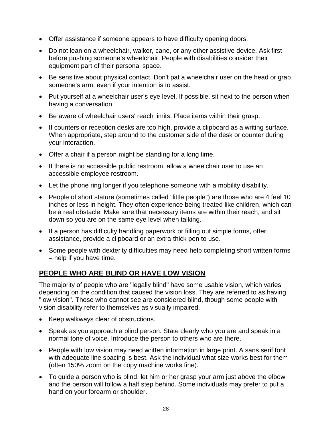- Offer assistance if someone appears to have difficulty opening doors.
- Do not lean on a wheelchair, walker, cane, or any other assistive device. Ask first before pushing someone's wheelchair. People with disabilities consider their equipment part of their personal space.
- Be sensitive about physical contact. Don't pat a wheelchair user on the head or grab someone's arm, even if your intention is to assist.
- Put yourself at a wheelchair user's eye level. If possible, sit next to the person when having a conversation.
- Be aware of wheelchair users' reach limits. Place items within their grasp.
- If counters or reception desks are too high, provide a clipboard as a writing surface. When appropriate, step around to the customer side of the desk or counter during your interaction.
- Offer a chair if a person might be standing for a long time.
- If there is no accessible public restroom, allow a wheelchair user to use an accessible employee restroom.
- Let the phone ring longer if you telephone someone with a mobility disability.
- People of short stature (sometimes called "little people") are those who are 4 feel 10 inches or less in height. They often experience being treated like children, which can be a real obstacle. Make sure that necessary items are within their reach, and sit down so you are on the same eye level when talking.
- If a person has difficulty handling paperwork or filling out simple forms, offer assistance, provide a clipboard or an extra-thick pen to use.
- Some people with dexterity difficulties may need help completing short written forms – help if you have time.

# **PEOPLE WHO ARE BLIND OR HAVE LOW VISION**

The majority of people who are "legally blind" have some usable vision, which varies depending on the condition that caused the vision loss. They are referred to as having "low vision". Those who cannot see are considered blind, though some people with vision disability refer to themselves as visually impaired.

- Keep walkways clear of obstructions.
- Speak as you approach a blind person. State clearly who you are and speak in a normal tone of voice. Introduce the person to others who are there.
- People with low vision may need written information in large print. A sans serif font with adequate line spacing is best. Ask the individual what size works best for them (often 150% zoom on the copy machine works fine).
- To guide a person who is blind, let him or her grasp your arm just above the elbow and the person will follow a half step behind. Some individuals may prefer to put a hand on your forearm or shoulder.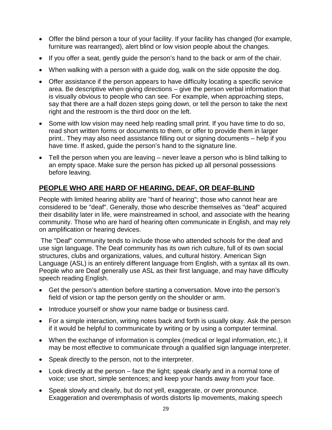- Offer the blind person a tour of your facility. If your facility has changed (for example, furniture was rearranged), alert blind or low vision people about the changes.
- If you offer a seat, gently guide the person's hand to the back or arm of the chair.
- When walking with a person with a guide dog, walk on the side opposite the dog.
- Offer assistance if the person appears to have difficulty locating a specific service area. Be descriptive when giving directions – give the person verbal information that is visually obvious to people who can see. For example, when approaching steps, say that there are a half dozen steps going down, or tell the person to take the next right and the restroom is the third door on the left.
- Some with low vision may need help reading small print. If you have time to do so, read short written forms or documents to them, or offer to provide them in larger print.. They may also need assistance filling out or signing documents – help if you have time. If asked, guide the person's hand to the signature line.
- Tell the person when you are leaving never leave a person who is blind talking to an empty space. Make sure the person has picked up all personal possessions before leaving.

# **PEOPLE WHO ARE HARD OF HEARING, DEAF, OR DEAF-BLIND**

People with limited hearing ability are "hard of hearing"; those who cannot hear are considered to be "deaf". Generally, those who describe themselves as "deaf" acquired their disability later in life, were mainstreamed in school, and associate with the hearing community. Those who are hard of hearing often communicate in English, and may rely on amplification or hearing devices.

The "Deaf" community tends to include those who attended schools for the deaf and use sign language. The Deaf community has its own rich culture, full of its own social structures, clubs and organizations, values, and cultural history. American Sign Language (ASL) is an entirely different language from English, with a syntax all its own. People who are Deaf generally use ASL as their first language, and may have difficulty speech reading English.

- Get the person's attention before starting a conversation. Move into the person's field of vision or tap the person gently on the shoulder or arm.
- Introduce yourself or show your name badge or business card.
- For a simple interaction, writing notes back and forth is usually okay. Ask the person if it would be helpful to communicate by writing or by using a computer terminal.
- When the exchange of information is complex (medical or legal information, etc.), it may be most effective to communicate through a qualified sign language interpreter.
- Speak directly to the person, not to the interpreter.
- Look directly at the person face the light; speak clearly and in a normal tone of voice; use short, simple sentences; and keep your hands away from your face.
- Speak slowly and clearly, but do not yell, exaggerate, or over pronounce. Exaggeration and overemphasis of words distorts lip movements, making speech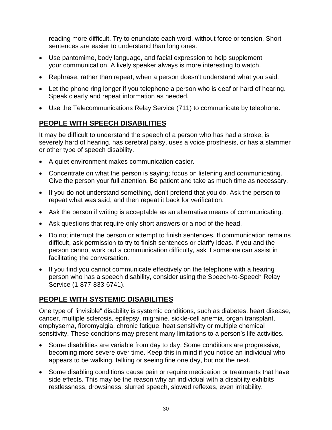reading more difficult. Try to enunciate each word, without force or tension. Short sentences are easier to understand than long ones.

- Use pantomime, body language, and facial expression to help supplement your communication. A lively speaker always is more interesting to watch.
- Rephrase, rather than repeat, when a person doesn't understand what you said.
- Let the phone ring longer if you telephone a person who is deaf or hard of hearing. Speak clearly and repeat information as needed.
- Use the Telecommunications Relay Service (711) to communicate by telephone.

# **PEOPLE WITH SPEECH DISABILITIES**

It may be difficult to understand the speech of a person who has had a stroke, is severely hard of hearing, has cerebral palsy, uses a voice prosthesis, or has a stammer or other type of speech disability.

- A quiet environment makes communication easier.
- Concentrate on what the person is saying; focus on listening and communicating. Give the person your full attention. Be patient and take as much time as necessary.
- If you do not understand something, don't pretend that you do. Ask the person to repeat what was said, and then repeat it back for verification.
- Ask the person if writing is acceptable as an alternative means of communicating.
- Ask questions that require only short answers or a nod of the head.
- Do not interrupt the person or attempt to finish sentences. If communication remains difficult, ask permission to try to finish sentences or clarify ideas. If you and the person cannot work out a communication difficulty, ask if someone can assist in facilitating the conversation.
- If you find you cannot communicate effectively on the telephone with a hearing person who has a speech disability, consider using the Speech-to-Speech Relay Service (1-877-833-6741).

# **PEOPLE WITH SYSTEMIC DISABILITIES**

One type of "invisible" disability is systemic conditions, such as diabetes, heart disease, cancer, multiple sclerosis, epilepsy, migraine, sickle-cell anemia, organ transplant, emphysema, fibromyalgia, chronic fatigue, heat sensitivity or multiple chemical sensitivity. These conditions may present many limitations to a person's life activities.

- Some disabilities are variable from day to day. Some conditions are progressive, becoming more severe over time. Keep this in mind if you notice an individual who appears to be walking, talking or seeing fine one day, but not the next.
- Some disabling conditions cause pain or require medication or treatments that have side effects. This may be the reason why an individual with a disability exhibits restlessness, drowsiness, slurred speech, slowed reflexes, even irritability.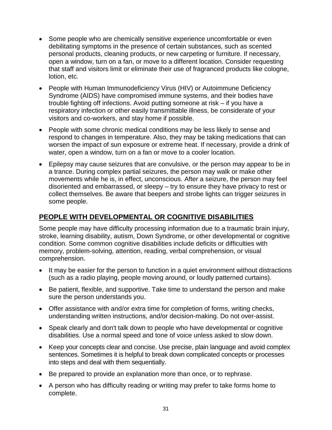- Some people who are chemically sensitive experience uncomfortable or even debilitating symptoms in the presence of certain substances, such as scented personal products, cleaning products, or new carpeting or furniture. If necessary, open a window, turn on a fan, or move to a different location. Consider requesting that staff and visitors limit or eliminate their use of fragranced products like cologne, lotion, etc.
- People with Human Immunodeficiency Virus (HIV) or Autoimmune Deficiency Syndrome (AIDS) have compromised immune systems, and their bodies have trouble fighting off infections. Avoid putting someone at risk – if you have a respiratory infection or other easily transmittable illness, be considerate of your visitors and co-workers, and stay home if possible.
- People with some chronic medical conditions may be less likely to sense and respond to changes in temperature. Also, they may be taking medications that can worsen the impact of sun exposure or extreme heat. If necessary, provide a drink of water, open a window, turn on a fan or move to a cooler location.
- Epilepsy may cause seizures that are convulsive, or the person may appear to be in a trance. During complex partial seizures, the person may walk or make other movements while he is, in effect, unconscious. After a seizure, the person may feel disoriented and embarrassed, or sleepy – try to ensure they have privacy to rest or collect themselves. Be aware that beepers and strobe lights can trigger seizures in some people.

# **PEOPLE WITH DEVELOPMENTAL OR COGNITIVE DISABILITIES**

Some people may have difficulty processing information due to a traumatic brain injury, stroke, learning disability, autism, Down Syndrome, or other developmental or cognitive condition. Some common cognitive disabilities include deficits or difficulties with memory, problem-solving, attention, reading, verbal comprehension, or visual comprehension.

- It may be easier for the person to function in a quiet environment without distractions (such as a radio playing, people moving around, or loudly patterned curtains).
- Be patient, flexible, and supportive. Take time to understand the person and make sure the person understands you.
- Offer assistance with and/or extra time for completion of forms, writing checks, understanding written instructions, and/or decision-making. Do not over-assist.
- Speak clearly and don't talk down to people who have developmental or cognitive disabilities. Use a normal speed and tone of voice unless asked to slow down.
- Keep your concepts clear and concise. Use precise, plain language and avoid complex sentences. Sometimes it is helpful to break down complicated concepts or processes into steps and deal with them sequentially.
- Be prepared to provide an explanation more than once, or to rephrase.
- A person who has difficulty reading or writing may prefer to take forms home to complete.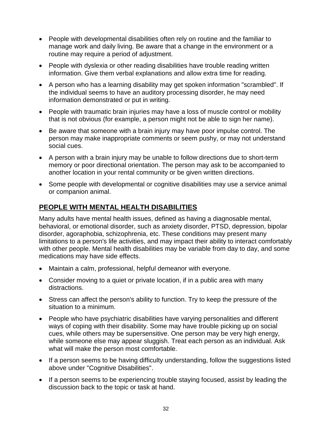- People with developmental disabilities often rely on routine and the familiar to manage work and daily living. Be aware that a change in the environment or a routine may require a period of adjustment.
- People with dyslexia or other reading disabilities have trouble reading written information. Give them verbal explanations and allow extra time for reading.
- A person who has a learning disability may get spoken information "scrambled". If the individual seems to have an auditory processing disorder, he may need information demonstrated or put in writing.
- People with traumatic brain injuries may have a loss of muscle control or mobility that is not obvious (for example, a person might not be able to sign her name).
- Be aware that someone with a brain injury may have poor impulse control. The person may make inappropriate comments or seem pushy, or may not understand social cues.
- A person with a brain injury may be unable to follow directions due to short-term memory or poor directional orientation. The person may ask to be accompanied to another location in your rental community or be given written directions.
- Some people with developmental or cognitive disabilities may use a service animal or companion animal.

# **PEOPLE WITH MENTAL HEALTH DISABILITIES**

Many adults have mental health issues, defined as having a diagnosable mental, behavioral, or emotional disorder, such as anxiety disorder, PTSD, depression, bipolar disorder, agoraphobia, schizophrenia, etc. These conditions may present many limitations to a person's life activities, and may impact their ability to interact comfortably with other people. Mental health disabilities may be variable from day to day, and some medications may have side effects.

- Maintain a calm, professional, helpful demeanor with everyone.
- Consider moving to a quiet or private location, if in a public area with many distractions.
- Stress can affect the person's ability to function. Try to keep the pressure of the situation to a minimum.
- People who have psychiatric disabilities have varying personalities and different ways of coping with their disability. Some may have trouble picking up on social cues, while others may be supersensitive. One person may be very high energy, while someone else may appear sluggish. Treat each person as an individual. Ask what will make the person most comfortable.
- If a person seems to be having difficulty understanding, follow the suggestions listed above under "Cognitive Disabilities".
- If a person seems to be experiencing trouble staying focused, assist by leading the discussion back to the topic or task at hand.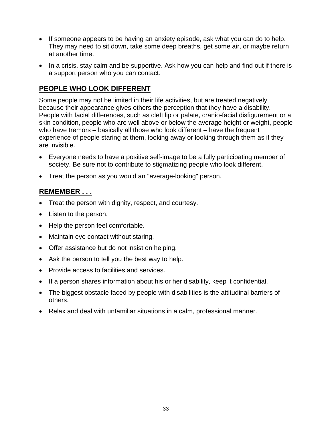- If someone appears to be having an anxiety episode, ask what you can do to help. They may need to sit down, take some deep breaths, get some air, or maybe return at another time.
- In a crisis, stay calm and be supportive. Ask how you can help and find out if there is a support person who you can contact.

# **PEOPLE WHO LOOK DIFFERENT**

Some people may not be limited in their life activities, but are treated negatively because their appearance gives others the perception that they have a disability. People with facial differences, such as cleft lip or palate, cranio-facial disfigurement or a skin condition, people who are well above or below the average height or weight, people who have tremors – basically all those who look different – have the frequent experience of people staring at them, looking away or looking through them as if they are invisible.

- Everyone needs to have a positive self-image to be a fully participating member of society. Be sure not to contribute to stigmatizing people who look different.
- Treat the person as you would an "average-looking" person.

# **REMEMBER . . .**

- Treat the person with dignity, respect, and courtesy.
- Listen to the person.
- Help the person feel comfortable.
- Maintain eye contact without staring.
- Offer assistance but do not insist on helping.
- Ask the person to tell you the best way to help.
- Provide access to facilities and services.
- If a person shares information about his or her disability, keep it confidential.
- The biggest obstacle faced by people with disabilities is the attitudinal barriers of others.
- Relax and deal with unfamiliar situations in a calm, professional manner.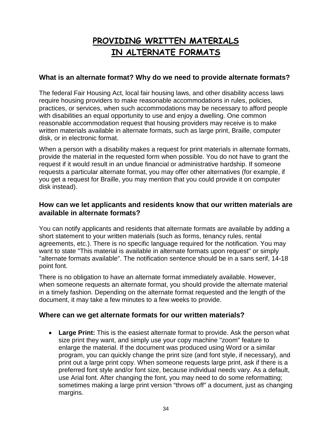# **PROVIDING WRITTEN MATERIALS IN ALTERNATE FORMATS**

# **What is an alternate format? Why do we need to provide alternate formats?**

The federal Fair Housing Act, local fair housing laws, and other disability access laws require housing providers to make reasonable accommodations in rules, policies, practices, or services, when such accommodations may be necessary to afford people with disabilities an equal opportunity to use and enjoy a dwelling. One common reasonable accommodation request that housing providers may receive is to make written materials available in alternate formats, such as large print, Braille, computer disk, or in electronic format.

When a person with a disability makes a request for print materials in alternate formats, provide the material in the requested form when possible. You do not have to grant the request if it would result in an undue financial or administrative hardship. If someone requests a particular alternate format, you may offer other alternatives (for example, if you get a request for Braille, you may mention that you could provide it on computer disk instead).

# **How can we let applicants and residents know that our written materials are available in alternate formats?**

You can notify applicants and residents that alternate formats are available by adding a short statement to your written materials (such as forms, tenancy rules, rental agreements, etc.). There is no specific language required for the notification. You may want to state "This material is available in alternate formats upon request" or simply "alternate formats available". The notification sentence should be in a sans serif, 14-18 point font.

There is no obligation to have an alternate format immediately available. However, when someone requests an alternate format, you should provide the alternate material in a timely fashion. Depending on the alternate format requested and the length of the document, it may take a few minutes to a few weeks to provide.

### **Where can we get alternate formats for our written materials?**

• **Large Print:** This is the easiest alternate format to provide. Ask the person what size print they want, and simply use your copy machine "zoom" feature to enlarge the material. If the document was produced using Word or a similar program, you can quickly change the print size (and font style, if necessary), and print out a large print copy. When someone requests large print, ask if there is a preferred font style and/or font size, because individual needs vary. As a default, use Arial font. After changing the font, you may need to do some reformatting; sometimes making a large print version "throws off" a document, just as changing margins.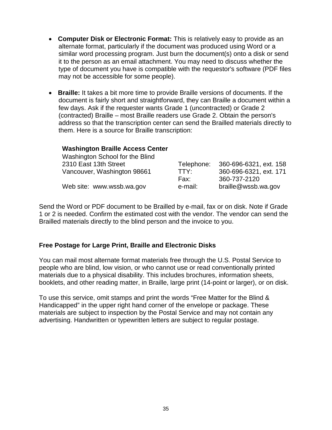- • **Computer Disk or Electronic Format:** This is relatively easy to provide as an alternate format, particularly if the document was produced using Word or a similar word processing program. Just burn the document(s) onto a disk or send it to the person as an email attachment. You may need to discuss whether the type of document you have is compatible with the requestor's software (PDF files may not be accessible for some people).
- • **Braille:** It takes a bit more time to provide Braille versions of documents. If the document is fairly short and straightforward, they can Braille a document within a few days. Ask if the requester wants Grade 1 (uncontracted) or Grade 2 (contracted) Braille – most Braille readers use Grade 2. Obtain the person's address so that the transcription center can send the Brailled materials directly to them. Here is a source for Braille transcription:

#### **Washington Braille Access Center**

| Washington School for the Blind |            |                        |
|---------------------------------|------------|------------------------|
| 2310 East 13th Street           | Telephone: | 360-696-6321, ext. 158 |
| Vancouver, Washington 98661     | TTY:       | 360-696-6321, ext. 171 |
|                                 | Fax:       | 360-737-2120           |
| Web site: www.wssb.wa.gov       | e-mail:    | braille@wssb.wa.gov    |

Send the Word or PDF document to be Brailled by e-mail, fax or on disk. Note if Grade 1 or 2 is needed. Confirm the estimated cost with the vendor. The vendor can send the Brailled materials directly to the blind person and the invoice to you.

### **Free Postage for Large Print, Braille and Electronic Disks**

You can mail most alternate format materials free through the U.S. Postal Service to people who are blind, low vision, or who cannot use or read conventionally printed materials due to a physical disability. This includes brochures, information sheets, booklets, and other reading matter, in Braille, large print (14-point or larger), or on disk.

To use this service, omit stamps and print the words "Free Matter for the Blind & Handicapped" in the upper right hand corner of the envelope or package. These materials are subject to inspection by the Postal Service and may not contain any advertising. Handwritten or typewritten letters are subject to regular postage.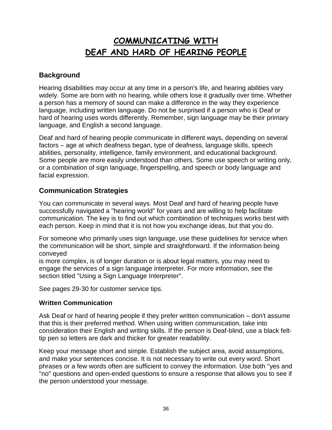# **COMMUNICATING WITH DEAF AND HARD OF HEARING PEOPLE**

# **Background**

Hearing disabilities may occur at any time in a person's life, and hearing abilities vary widely. Some are born with no hearing, while others lose it gradually over time. Whether a person has a memory of sound can make a difference in the way they experience language, including written language. Do not be surprised if a person who is Deaf or hard of hearing uses words differently. Remember, sign language may be their primary language, and English a second language.

Deaf and hard of hearing people communicate in different ways, depending on several factors – age at which deafness began, type of deafness, language skills, speech abilities, personality, intelligence, family environment, and educational background. Some people are more easily understood than others. Some use speech or writing only, or a combination of sign language, fingerspelling, and speech or body language and facial expression.

# **Communication Strategies**

You can communicate in several ways. Most Deaf and hard of hearing people have successfully navigated a "hearing world" for years and are willing to help facilitate communication. The key is to find out which combination of techniques works best with each person. Keep in mind that it is not how you exchange ideas, but that you do.

For someone who primarily uses sign language, use these guidelines for service when the communication will be short, simple and straightforward. If the information being conveyed

is more complex, is of longer duration or is about legal matters, you may need to engage the services of a sign language interpreter. For more information, see the section titled "Using a Sign Language Interpreter".

See pages 29-30 for customer service tips.

### **Written Communication**

Ask Deaf or hard of hearing people if they prefer written communication – don't assume that this is their preferred method. When using written communication, take into consideration their English and writing skills. If the person is Deaf-blind, use a black felttip pen so letters are dark and thicker for greater readability.

Keep your message short and simple. Establish the subject area, avoid assumptions, and make your sentences concise. It is not necessary to write out every word. Short phrases or a few words often are sufficient to convey the information. Use both "yes and "no" questions and open-ended questions to ensure a response that allows you to see if the person understood your message.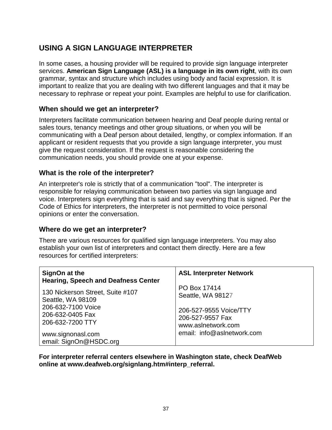# **USING A SIGN LANGUAGE INTERPRETER**

In some cases, a housing provider will be required to provide sign language interpreter services. **American Sign Language (ASL) is a language in its own right**, with its own grammar, syntax and structure which includes using body and facial expression. It is important to realize that you are dealing with two different languages and that it may be necessary to rephrase or repeat your point. Examples are helpful to use for clarification.

# **When should we get an interpreter?**

Interpreters facilitate communication between hearing and Deaf people during rental or sales tours, tenancy meetings and other group situations, or when you will be communicating with a Deaf person about detailed, lengthy, or complex information. If an applicant or resident requests that you provide a sign language interpreter, you must give the request consideration. If the request is reasonable considering the communication needs, you should provide one at your expense.

# **What is the role of the interpreter?**

An interpreter's role is strictly that of a communication "tool". The interpreter is responsible for relaying communication between two parties via sign language and voice. Interpreters sign everything that is said and say everything that is signed. Per the Code of Ethics for interpreters, the interpreter is not permitted to voice personal opinions or enter the conversation.

### **Where do we get an interpreter?**

There are various resources for qualified sign language interpreters. You may also establish your own list of interpreters and contact them directly. Here are a few resources for certified interpreters:

| SignOn at the<br><b>Hearing, Speech and Deafness Center</b>                                                                                                        | <b>ASL Interpreter Network</b>                                                                                                      |
|--------------------------------------------------------------------------------------------------------------------------------------------------------------------|-------------------------------------------------------------------------------------------------------------------------------------|
| 130 Nickerson Street, Suite #107<br>Seattle, WA 98109<br>206-632-7100 Voice<br>206-632-0405 Fax<br>206-632-7200 TTY<br>www.signonasl.com<br>email: SignOn@HSDC.org | PO Box 17414<br>Seattle, WA 98127<br>206-527-9555 Voice/TTY<br>206-527-9557 Fax<br>www.aslnetwork.com<br>email: info@aslnetwork.com |

**For interpreter referral centers elsewhere in Washington state, check DeafWeb online [at www.deafweb.org/signlang.htm#interp\\_referral.](http://www.deafweb.org/signlang.htm#interp_referral)**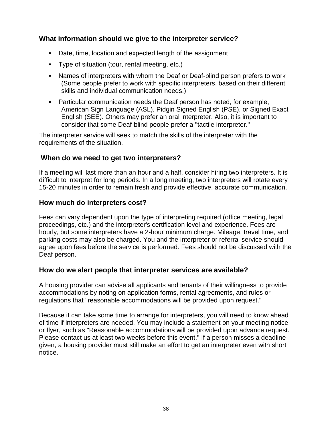# **What information should we give to the interpreter service?**

- Date, time, location and expected length of the assignment
- Type of situation (tour, rental meeting, etc.)
- Names of interpreters with whom the Deaf or Deaf-blind person prefers to work (Some people prefer to work with specific interpreters, based on their different skills and individual communication needs.)
- Particular communication needs the Deaf person has noted, for example, American Sign Language (ASL), Pidgin Signed English (PSE), or Signed Exact English (SEE). Others may prefer an oral interpreter. Also, it is important to consider that some Deaf-blind people prefer a "tactile interpreter."

The interpreter service will seek to match the skills of the interpreter with the requirements of the situation.

### **When do we need to get two interpreters?**

If a meeting will last more than an hour and a half, consider hiring two interpreters. It is difficult to interpret for long periods. In a long meeting, two interpreters will rotate every 15-20 minutes in order to remain fresh and provide effective, accurate communication.

### **How much do interpreters cost?**

Fees can vary dependent upon the type of interpreting required (office meeting, legal proceedings, etc.) and the interpreter's certification level and experience. Fees are hourly, but some interpreters have a 2-hour minimum charge. Mileage, travel time, and parking costs may also be charged. You and the interpreter or referral service should agree upon fees before the service is performed. Fees should not be discussed with the Deaf person.

### **How do we alert people that interpreter services are available?**

A housing provider can advise all applicants and tenants of their willingness to provide accommodations by noting on application forms, rental agreements, and rules or regulations that "reasonable accommodations will be provided upon request."

Because it can take some time to arrange for interpreters, you will need to know ahead of time if interpreters are needed. You may include a statement on your meeting notice or flyer, such as "Reasonable accommodations will be provided upon advance request. Please contact us at least two weeks before this event." If a person misses a deadline given, a housing provider must still make an effort to get an interpreter even with short notice.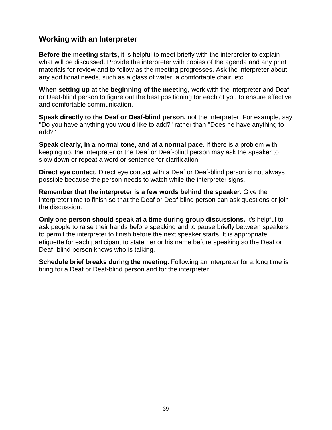# **Working with an Interpreter**

**Before the meeting starts,** it is helpful to meet briefly with the interpreter to explain what will be discussed. Provide the interpreter with copies of the agenda and any print materials for review and to follow as the meeting progresses. Ask the interpreter about any additional needs, such as a glass of water, a comfortable chair, etc.

**When setting up at the beginning of the meeting,** work with the interpreter and Deaf or Deaf-blind person to figure out the best positioning for each of you to ensure effective and comfortable communication.

**Speak directly to the Deaf or Deaf-blind person,** not the interpreter. For example, say "Do you have anything you would like to add?" rather than "Does he have anything to add?"

**Speak clearly, in a normal tone, and at a normal pace.** If there is a problem with keeping up, the interpreter or the Deaf or Deaf-blind person may ask the speaker to slow down or repeat a word or sentence for clarification.

**Direct eye contact.** Direct eye contact with a Deaf or Deaf-blind person is not always possible because the person needs to watch while the interpreter signs.

**Remember that the interpreter is a few words behind the speaker.** Give the interpreter time to finish so that the Deaf or Deaf-blind person can ask questions or join the discussion.

**Only one person should speak at a time during group discussions.** It's helpful to ask people to raise their hands before speaking and to pause briefly between speakers to permit the interpreter to finish before the next speaker starts. It is appropriate etiquette for each participant to state her or his name before speaking so the Deaf or Deaf- blind person knows who is talking.

**Schedule brief breaks during the meeting.** Following an interpreter for a long time is tiring for a Deaf or Deaf-blind person and for the interpreter.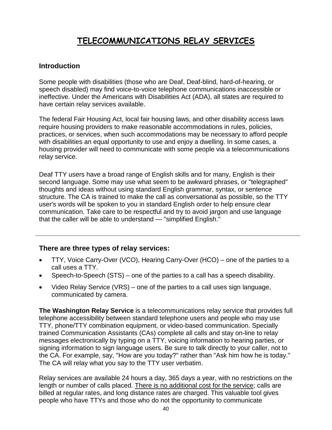# **TELECOMMUNICATIONS RELAY SERVICES**

## **Introduction**

Some people with disabilities (those who are Deaf, Deaf-blind, hard-of-hearing, or speech disabled) may find voice-to-voice telephone communications inaccessible or ineffective. Under the Americans with Disabilities Act (ADA), all states are required to have certain relay services available.

The federal Fair Housing Act, local fair housing laws, and other disability access laws require housing providers to make reasonable accommodations in rules, policies, practices, or services, when such accommodations may be necessary to afford people with disabilities an equal opportunity to use and enjoy a dwelling. In some cases, a housing provider will need to communicate with some people via a telecommunications relay service.

Deaf TTY users have a broad range of English skills and for many, English is their second language. Some may use what seem to be awkward phrases, or "telegraphed" thoughts and ideas without using standard English grammar, syntax, or sentence structure. The CA is trained to make the call as conversational as possible, so the TTY user's words will be spoken to you in standard English order to help ensure clear communication. Take care to be respectful and try to avoid jargon and use language that the caller will be able to understand — "simplified English."

### **There are three types of relay services:**

- TTY, Voice Carry-Over (VCO), Hearing Carry-Over (HCO) one of the parties to a call uses a TTY.
- Speech-to-Speech (STS) one of the parties to a call has a speech disability.
- Video Relay Service (VRS) one of the parties to a call uses sign language, communicated by camera.

**The Washington Relay Service** is a telecommunications relay service that provides full telephone accessibility between standard telephone users and people who may use TTY, phone/TTY combination equipment, or video-based communication. Specially trained Communication Assistants (CAs) complete all calls and stay on-line to relay messages electronically by typing on a TTY, voicing information to hearing parties, or signing information to sign language users. Be sure to talk directly to your caller, not to the CA. For example, say, "How are you today?" rather than "Ask him how he is today." The CA will relay what you say to the TTY user verbatim.

Relay services are available 24 hours a day, 365 days a year, with no restrictions on the length or number of calls placed. There is no additional cost for the service; calls are billed at regular rates, and long distance rates are charged. This valuable tool gives people who have TTYs and those who do not the opportunity to communicate